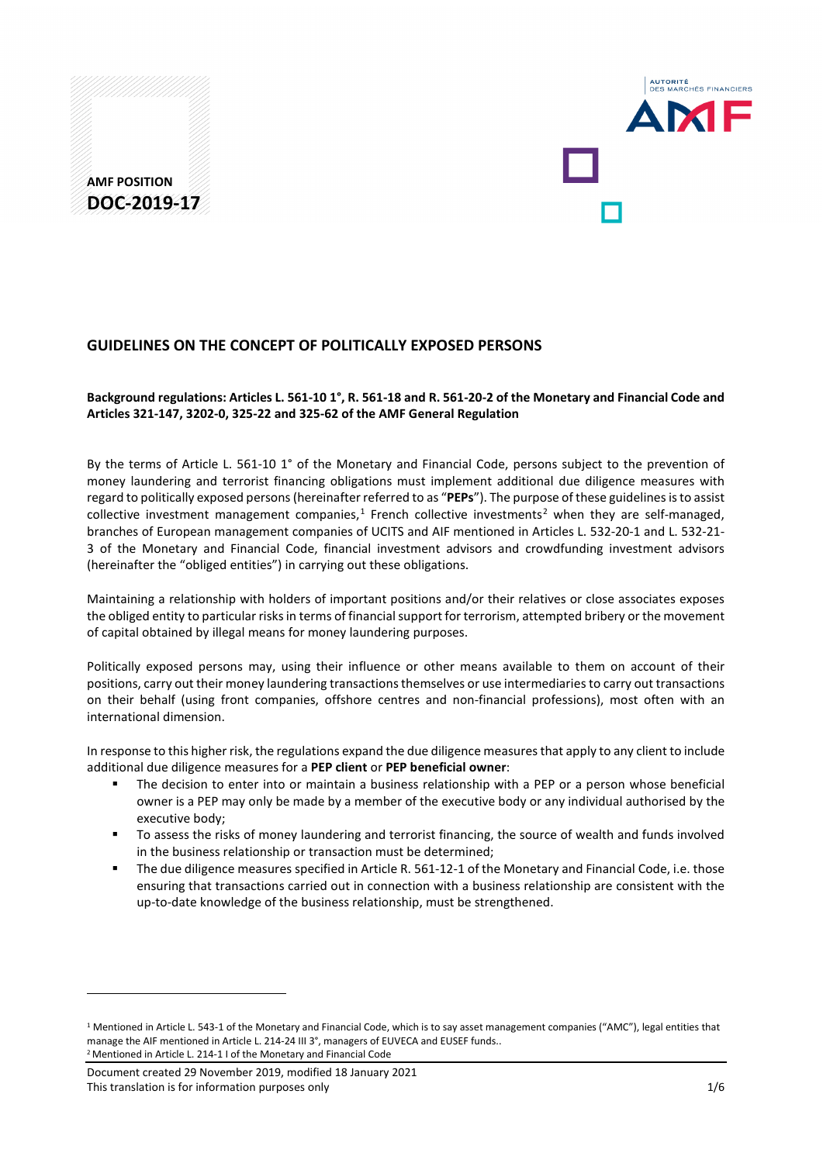# **AMF POSITION DOC-2019-17**



## **GUIDELINES ON THE CONCEPT OF POLITICALLY EXPOSED PERSONS**

### **Background regulations: Articles L. 561-10 1°, R. 561-18 and R. 561-20-2 of the Monetary and Financial Code and Articles 321-147, 3202-0, 325-22 and 325-62 of the AMF General Regulation**

By the terms of Article L. 561-10 1° of the Monetary and Financial Code, persons subject to the prevention of money laundering and terrorist financing obligations must implement additional due diligence measures with regard to politically exposed persons (hereinafter referred to as "**PEPs**"). The purpose of these guidelines is to assist collective investment management companies, $<sup>1</sup>$  $<sup>1</sup>$  $<sup>1</sup>$  French collective investments<sup>[2](#page-0-1)</sup> when they are self-managed,</sup> branches of European management companies of UCITS and AIF mentioned in Articles L. 532-20-1 and L. 532-21- 3 of the Monetary and Financial Code, financial investment advisors and crowdfunding investment advisors (hereinafter the "obliged entities") in carrying out these obligations.

Maintaining a relationship with holders of important positions and/or their relatives or close associates exposes the obliged entity to particular risks in terms of financial support for terrorism, attempted bribery or the movement of capital obtained by illegal means for money laundering purposes.

Politically exposed persons may, using their influence or other means available to them on account of their positions, carry out their money laundering transactions themselves or use intermediaries to carry out transactions on their behalf (using front companies, offshore centres and non-financial professions), most often with an international dimension.

In response to this higher risk, the regulations expand the due diligence measures that apply to any client to include additional due diligence measures for a **PEP client** or **PEP beneficial owner**:

- The decision to enter into or maintain a business relationship with a PEP or a person whose beneficial owner is a PEP may only be made by a member of the executive body or any individual authorised by the executive body;
- To assess the risks of money laundering and terrorist financing, the source of wealth and funds involved in the business relationship or transaction must be determined;
- The due diligence measures specified in Article R. 561-12-1 of the Monetary and Financial Code, i.e. those ensuring that transactions carried out in connection with a business relationship are consistent with the up-to-date knowledge of the business relationship, must be strengthened.

<span id="page-0-1"></span>Document created 29 November 2019, modified 18 January 2021 This translation is for information purposes only 1/6

<u>.</u>

<span id="page-0-0"></span><sup>&</sup>lt;sup>1</sup> Mentioned in Article L. 543-1 of the Monetary and Financial Code, which is to say asset management companies ("AMC"), legal entities that manage the AIF mentioned in Article L. 214-24 III 3°, managers of EUVECA and EUSEF funds.. <sup>2</sup> Mentioned in Article L. 214-1 I of the Monetary and Financial Code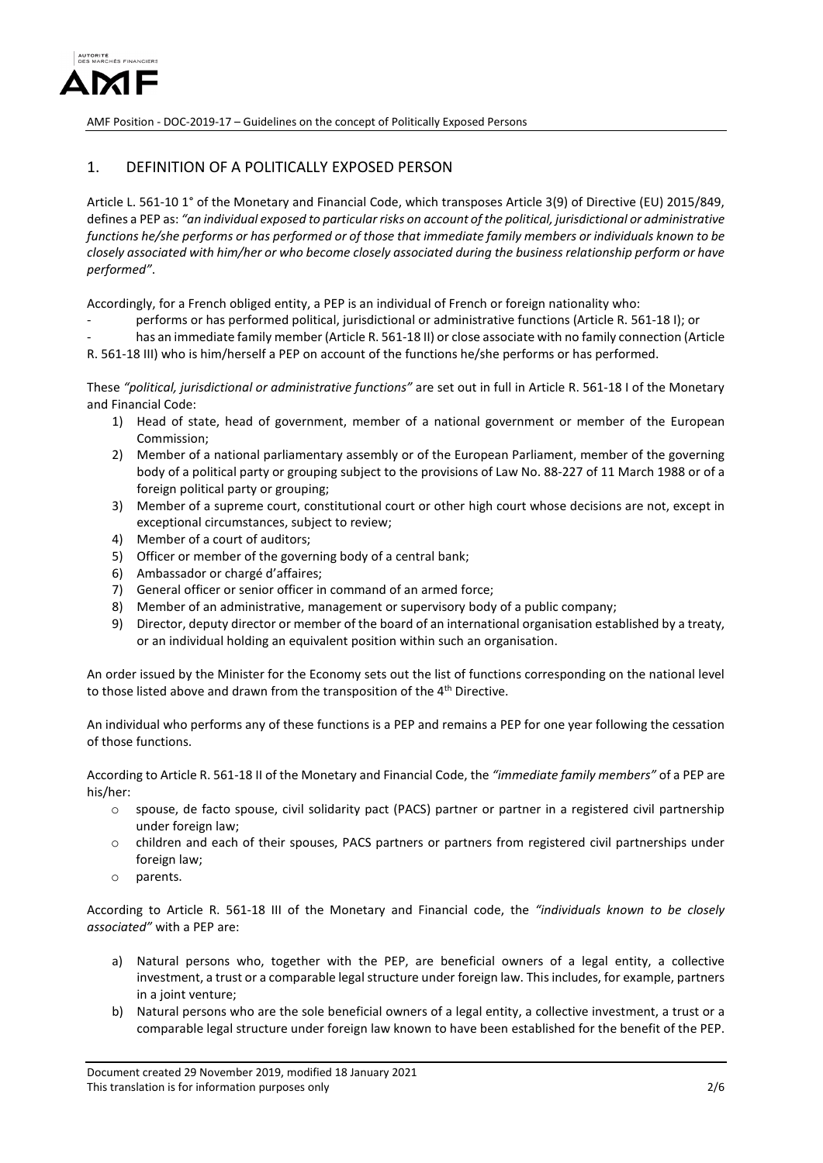

### 1. DEFINITION OF A POLITICALLY EXPOSED PERSON

Article L. 561-10 1° of the Monetary and Financial Code, which transposes Article 3(9) of Directive (EU) 2015/849, defines a PEP as: *"an individual exposed to particular risks on account of the political, jurisdictional or administrative functions he/she performs or has performed or of those that immediate family members or individuals known to be closely associated with him/her or who become closely associated during the business relationship perform or have performed"*.

Accordingly, for a French obliged entity, a PEP is an individual of French or foreign nationality who:

- performs or has performed political, jurisdictional or administrative functions (Article R. 561-18 I); or
- has an immediate family member (Article R. 561-18 II) or close associate with no family connection (Article R. 561-18 III) who is him/herself a PEP on account of the functions he/she performs or has performed.

These *"political, jurisdictional or administrative functions"* are set out in full in Article R. 561-18 I of the Monetary and Financial Code:

- 1) Head of state, head of government, member of a national government or member of the European Commission;
- 2) Member of a national parliamentary assembly or of the European Parliament, member of the governing body of a political party or grouping subject to the provisions of Law No. 88-227 of 11 March 1988 or of a foreign political party or grouping;
- 3) Member of a supreme court, constitutional court or other high court whose decisions are not, except in exceptional circumstances, subject to review;
- 4) Member of a court of auditors;
- 5) Officer or member of the governing body of a central bank;
- 6) Ambassador or chargé d'affaires;
- 7) General officer or senior officer in command of an armed force;
- 8) Member of an administrative, management or supervisory body of a public company;
- 9) Director, deputy director or member of the board of an international organisation established by a treaty, or an individual holding an equivalent position within such an organisation.

An order issued by the Minister for the Economy sets out the list of functions corresponding on the national level to those listed above and drawn from the transposition of the 4<sup>th</sup> Directive.

An individual who performs any of these functions is a PEP and remains a PEP for one year following the cessation of those functions.

According to Article R. 561-18 II of the Monetary and Financial Code, the *"immediate family members"* of a PEP are his/her:

- o spouse, de facto spouse, civil solidarity pact (PACS) partner or partner in a registered civil partnership under foreign law;
- o children and each of their spouses, PACS partners or partners from registered civil partnerships under foreign law;
- o parents.

According to Article R. 561-18 III of the Monetary and Financial code, the *"individuals known to be closely associated"* with a PEP are:

- a) Natural persons who, together with the PEP, are beneficial owners of a legal entity, a collective investment, a trust or a comparable legal structure under foreign law. This includes, for example, partners in a joint venture;
- b) Natural persons who are the sole beneficial owners of a legal entity, a collective investment, a trust or a comparable legal structure under foreign law known to have been established for the benefit of the PEP.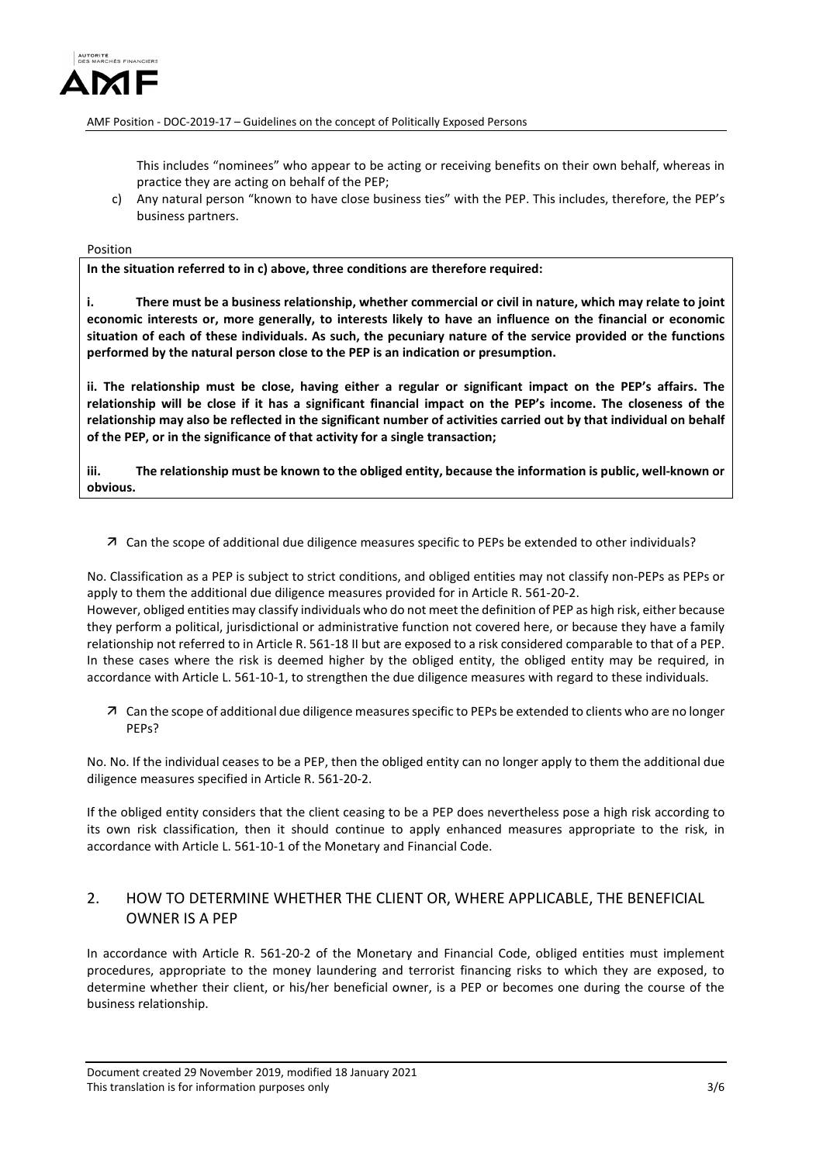

This includes "nominees" who appear to be acting or receiving benefits on their own behalf, whereas in practice they are acting on behalf of the PEP;

c) Any natural person "known to have close business ties" with the PEP. This includes, therefore, the PEP's business partners.

#### Position

**In the situation referred to in c) above, three conditions are therefore required:**

**i. There must be a business relationship, whether commercial or civil in nature, which may relate to joint economic interests or, more generally, to interests likely to have an influence on the financial or economic situation of each of these individuals. As such, the pecuniary nature of the service provided or the functions performed by the natural person close to the PEP is an indication or presumption.**

**ii. The relationship must be close, having either a regular or significant impact on the PEP's affairs. The relationship will be close if it has a significant financial impact on the PEP's income. The closeness of the relationship may also be reflected in the significant number of activities carried out by that individual on behalf of the PEP, or in the significance of that activity for a single transaction;** 

**iii. The relationship must be known to the obliged entity, because the information is public, well-known or obvious.**

Can the scope of additional due diligence measures specific to PEPs be extended to other individuals?

No. Classification as a PEP is subject to strict conditions, and obliged entities may not classify non-PEPs as PEPs or apply to them the additional due diligence measures provided for in Article R. 561-20-2. However, obliged entities may classify individuals who do not meet the definition of PEP as high risk, either because they perform a political, jurisdictional or administrative function not covered here, or because they have a family relationship not referred to in Article R. 561-18 II but are exposed to a risk considered comparable to that of a PEP. In these cases where the risk is deemed higher by the obliged entity, the obliged entity may be required, in accordance with Article L. 561-10-1, to strengthen the due diligence measures with regard to these individuals.

 Can the scope of additional due diligence measures specific to PEPs be extended to clients who are no longer PEPs?

No. No. If the individual ceases to be a PEP, then the obliged entity can no longer apply to them the additional due diligence measures specified in Article R. 561-20-2.

If the obliged entity considers that the client ceasing to be a PEP does nevertheless pose a high risk according to its own risk classification, then it should continue to apply enhanced measures appropriate to the risk, in accordance with Article L. 561-10-1 of the Monetary and Financial Code.

### 2. HOW TO DETERMINE WHETHER THE CLIENT OR, WHERE APPLICABLE, THE BENEFICIAL OWNER IS A PEP

In accordance with Article R. 561-20-2 of the Monetary and Financial Code, obliged entities must implement procedures, appropriate to the money laundering and terrorist financing risks to which they are exposed, to determine whether their client, or his/her beneficial owner, is a PEP or becomes one during the course of the business relationship.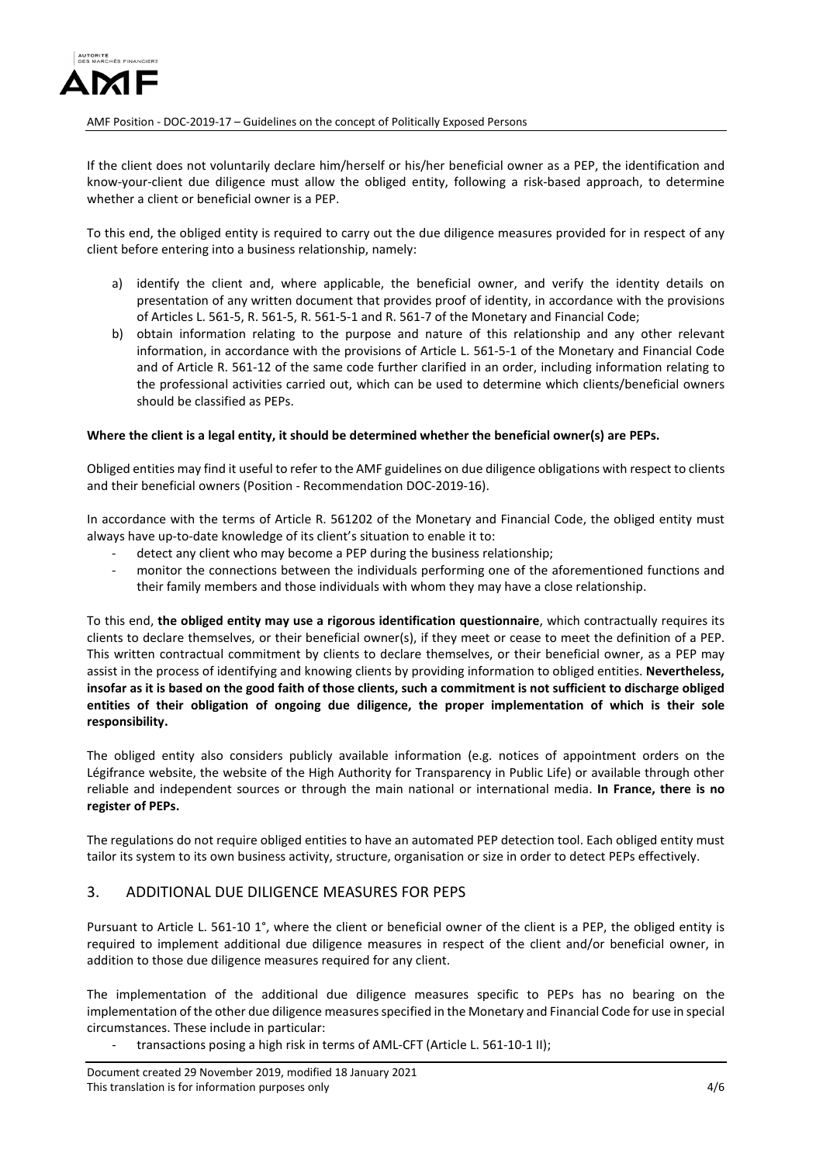

If the client does not voluntarily declare him/herself or his/her beneficial owner as a PEP, the identification and know-your-client due diligence must allow the obliged entity, following a risk-based approach, to determine whether a client or beneficial owner is a PEP.

To this end, the obliged entity is required to carry out the due diligence measures provided for in respect of any client before entering into a business relationship, namely:

- a) identify the client and, where applicable, the beneficial owner, and verify the identity details on presentation of any written document that provides proof of identity, in accordance with the provisions of Articles L. 561-5, R. 561-5, R. 561-5-1 and R. 561-7 of the Monetary and Financial Code;
- b) obtain information relating to the purpose and nature of this relationship and any other relevant information, in accordance with the provisions of Article L. 561-5-1 of the Monetary and Financial Code and of Article R. 561-12 of the same code further clarified in an order, including information relating to the professional activities carried out, which can be used to determine which clients/beneficial owners should be classified as PEPs.

#### **Where the client is a legal entity, it should be determined whether the beneficial owner(s) are PEPs.**

Obliged entities may find it useful to refer to the AMF guidelines on due diligence obligations with respect to clients and their beneficial owners (Position - Recommendation DOC-2019-16).

In accordance with the terms of Article R. 561202 of the Monetary and Financial Code, the obliged entity must always have up-to-date knowledge of its client's situation to enable it to:

- detect any client who may become a PEP during the business relationship;
- monitor the connections between the individuals performing one of the aforementioned functions and their family members and those individuals with whom they may have a close relationship.

To this end, **the obliged entity may use a rigorous identification questionnaire**, which contractually requires its clients to declare themselves, or their beneficial owner(s), if they meet or cease to meet the definition of a PEP. This written contractual commitment by clients to declare themselves, or their beneficial owner, as a PEP may assist in the process of identifying and knowing clients by providing information to obliged entities. **Nevertheless, insofar as it is based on the good faith of those clients, such a commitment is not sufficient to discharge obliged entities of their obligation of ongoing due diligence, the proper implementation of which is their sole responsibility.**

The obliged entity also considers publicly available information (e.g. notices of appointment orders on the Légifrance website, the website of the High Authority for Transparency in Public Life) or available through other reliable and independent sources or through the main national or international media. **In France, there is no register of PEPs.** 

The regulations do not require obliged entities to have an automated PEP detection tool. Each obliged entity must tailor its system to its own business activity, structure, organisation or size in order to detect PEPs effectively.

### 3. ADDITIONAL DUE DILIGENCE MEASURES FOR PEPS

Pursuant to Article L. 561-10 1°, where the client or beneficial owner of the client is a PEP, the obliged entity is required to implement additional due diligence measures in respect of the client and/or beneficial owner, in addition to those due diligence measures required for any client.

The implementation of the additional due diligence measures specific to PEPs has no bearing on the implementation of the other due diligence measures specified in the Monetary and Financial Code for use in special circumstances. These include in particular:

transactions posing a high risk in terms of AML-CFT (Article L. 561-10-1 II);

Document created 29 November 2019, modified 18 January 2021 This translation is for information purposes only the state of the state of the state of the 4/6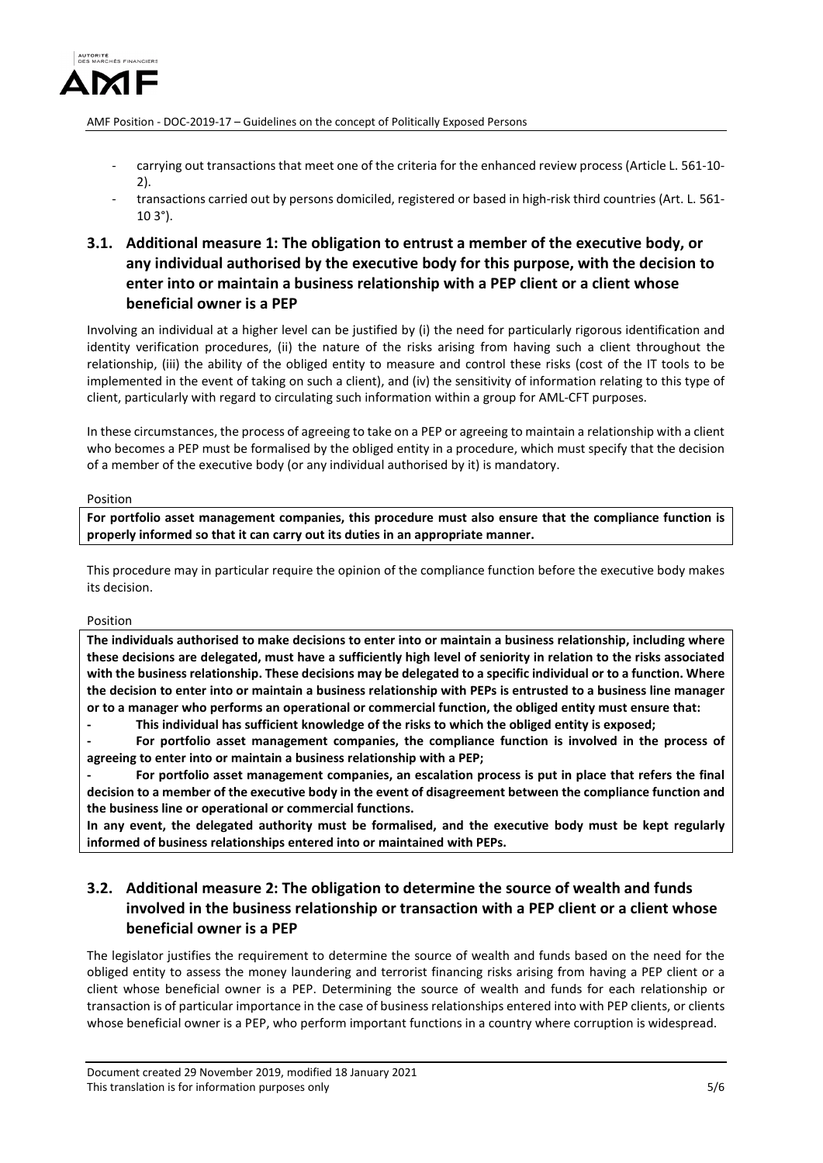

- carrying out transactions that meet one of the criteria for the enhanced review process (Article L. 561-10-2).
- transactions carried out by persons domiciled, registered or based in high-risk third countries (Art. L. 561-  $103°$ ).
- **3.1. Additional measure 1: The obligation to entrust a member of the executive body, or any individual authorised by the executive body for this purpose, with the decision to enter into or maintain a business relationship with a PEP client or a client whose beneficial owner is a PEP**

Involving an individual at a higher level can be justified by (i) the need for particularly rigorous identification and identity verification procedures, (ii) the nature of the risks arising from having such a client throughout the relationship, (iii) the ability of the obliged entity to measure and control these risks (cost of the IT tools to be implemented in the event of taking on such a client), and (iv) the sensitivity of information relating to this type of client, particularly with regard to circulating such information within a group for AML-CFT purposes.

In these circumstances, the process of agreeing to take on a PEP or agreeing to maintain a relationship with a client who becomes a PEP must be formalised by the obliged entity in a procedure, which must specify that the decision of a member of the executive body (or any individual authorised by it) is mandatory.

#### Position

**For portfolio asset management companies, this procedure must also ensure that the compliance function is properly informed so that it can carry out its duties in an appropriate manner.**

This procedure may in particular require the opinion of the compliance function before the executive body makes its decision.

#### Position

**The individuals authorised to make decisions to enter into or maintain a business relationship, including where these decisions are delegated, must have a sufficiently high level of seniority in relation to the risks associated with the business relationship. These decisions may be delegated to a specific individual or to a function. Where the decision to enter into or maintain a business relationship with PEPs is entrusted to a business line manager or to a manager who performs an operational or commercial function, the obliged entity must ensure that:** 

**- This individual has sufficient knowledge of the risks to which the obliged entity is exposed;** 

**- For portfolio asset management companies, the compliance function is involved in the process of agreeing to enter into or maintain a business relationship with a PEP;** 

**- For portfolio asset management companies, an escalation process is put in place that refers the final decision to a member of the executive body in the event of disagreement between the compliance function and the business line or operational or commercial functions.** 

**In any event, the delegated authority must be formalised, and the executive body must be kept regularly informed of business relationships entered into or maintained with PEPs.** 

## **3.2. Additional measure 2: The obligation to determine the source of wealth and funds involved in the business relationship or transaction with a PEP client or a client whose beneficial owner is a PEP**

The legislator justifies the requirement to determine the source of wealth and funds based on the need for the obliged entity to assess the money laundering and terrorist financing risks arising from having a PEP client or a client whose beneficial owner is a PEP. Determining the source of wealth and funds for each relationship or transaction is of particular importance in the case of business relationships entered into with PEP clients, or clients whose beneficial owner is a PEP, who perform important functions in a country where corruption is widespread.